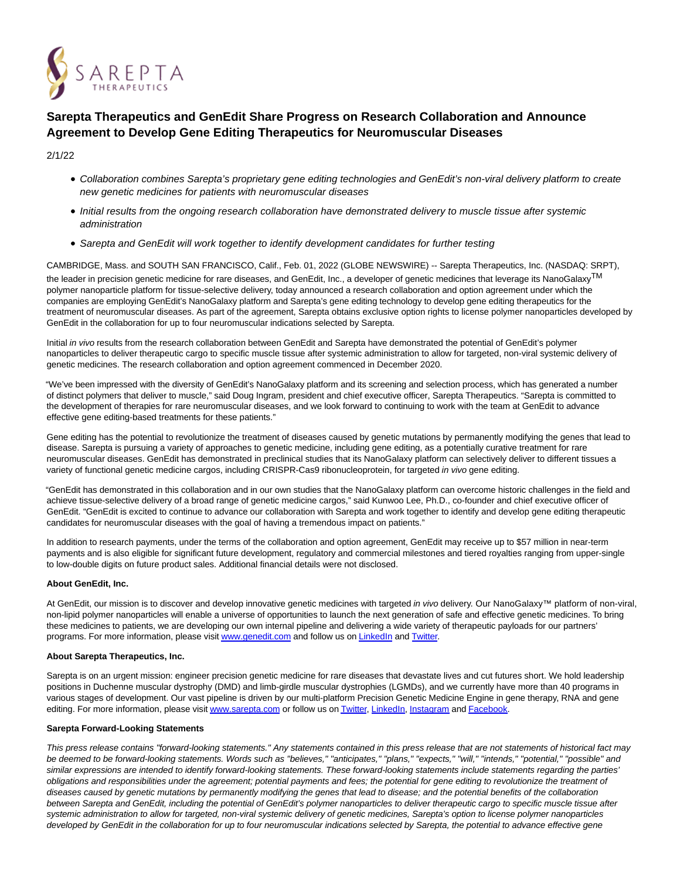

# **Sarepta Therapeutics and GenEdit Share Progress on Research Collaboration and Announce Agreement to Develop Gene Editing Therapeutics for Neuromuscular Diseases**

2/1/22

- Collaboration combines Sarepta's proprietary gene editing technologies and GenEdit's non-viral delivery platform to create new genetic medicines for patients with neuromuscular diseases
- Initial results from the ongoing research collaboration have demonstrated delivery to muscle tissue after systemic administration
- Sarepta and GenEdit will work together to identify development candidates for further testing

CAMBRIDGE, Mass. and SOUTH SAN FRANCISCO, Calif., Feb. 01, 2022 (GLOBE NEWSWIRE) -- Sarepta Therapeutics, Inc. (NASDAQ: SRPT), the leader in precision genetic medicine for rare diseases, and GenEdit, Inc., a developer of genetic medicines that leverage its NanoGalaxyTM polymer nanoparticle platform for tissue-selective delivery, today announced a research collaboration and option agreement under which the companies are employing GenEdit's NanoGalaxy platform and Sarepta's gene editing technology to develop gene editing therapeutics for the treatment of neuromuscular diseases. As part of the agreement, Sarepta obtains exclusive option rights to license polymer nanoparticles developed by GenEdit in the collaboration for up to four neuromuscular indications selected by Sarepta.

Initial in vivo results from the research collaboration between GenEdit and Sarepta have demonstrated the potential of GenEdit's polymer nanoparticles to deliver therapeutic cargo to specific muscle tissue after systemic administration to allow for targeted, non-viral systemic delivery of genetic medicines. The research collaboration and option agreement commenced in December 2020.

"We've been impressed with the diversity of GenEdit's NanoGalaxy platform and its screening and selection process, which has generated a number of distinct polymers that deliver to muscle," said Doug Ingram, president and chief executive officer, Sarepta Therapeutics. "Sarepta is committed to the development of therapies for rare neuromuscular diseases, and we look forward to continuing to work with the team at GenEdit to advance effective gene editing-based treatments for these patients."

Gene editing has the potential to revolutionize the treatment of diseases caused by genetic mutations by permanently modifying the genes that lead to disease. Sarepta is pursuing a variety of approaches to genetic medicine, including gene editing, as a potentially curative treatment for rare neuromuscular diseases. GenEdit has demonstrated in preclinical studies that its NanoGalaxy platform can selectively deliver to different tissues a variety of functional genetic medicine cargos, including CRISPR-Cas9 ribonucleoprotein, for targeted in vivo gene editing.

"GenEdit has demonstrated in this collaboration and in our own studies that the NanoGalaxy platform can overcome historic challenges in the field and achieve tissue-selective delivery of a broad range of genetic medicine cargos," said Kunwoo Lee, Ph.D., co-founder and chief executive officer of GenEdit. "GenEdit is excited to continue to advance our collaboration with Sarepta and work together to identify and develop gene editing therapeutic candidates for neuromuscular diseases with the goal of having a tremendous impact on patients."

In addition to research payments, under the terms of the collaboration and option agreement, GenEdit may receive up to \$57 million in near-term payments and is also eligible for significant future development, regulatory and commercial milestones and tiered royalties ranging from upper-single to low-double digits on future product sales. Additional financial details were not disclosed.

## **About GenEdit, Inc.**

At GenEdit, our mission is to discover and develop innovative genetic medicines with targeted in vivo delivery. Our NanoGalaxy™ platform of non-viral, non-lipid polymer nanoparticles will enable a universe of opportunities to launch the next generation of safe and effective genetic medicines. To bring these medicines to patients, we are developing our own internal pipeline and delivering a wide variety of therapeutic payloads for our partners' programs. For more information, please visi[t www.genedit.com a](https://www.globenewswire.com/Tracker?data=ZBo7tH1kMgwczfQeRogMQ5KXFh1ks79YSCu8TPlbc7REWGpzi-gCFzE0Siy000Iod-yl3PDAYRByPIcPGHhHpQ==)nd follow us o[n LinkedIn a](https://www.globenewswire.com/Tracker?data=BrXf29ekzvscZcG6VcK0vDcIrPgLkjReu_ExlPNWz5CPz4burvDe5vH32LRc7vjFGpS2ugZ72DaUQycDuWUWRnDxPRc2NnWB3OddDwpQQOs=)nd [Twitter.](https://www.globenewswire.com/Tracker?data=4rQcBnmMTPa_VlN7iE3IZERtLO2V_AAR7BovB-JMoC5dFJ4VEFL57DeNaDJKAU9jgSbV-BKrroaQZ-Z3HtOKzA==)

## **About Sarepta Therapeutics, Inc.**

Sarepta is on an urgent mission: engineer precision genetic medicine for rare diseases that devastate lives and cut futures short. We hold leadership positions in Duchenne muscular dystrophy (DMD) and limb-girdle muscular dystrophies (LGMDs), and we currently have more than 40 programs in various stages of development. Our vast pipeline is driven by our multi-platform Precision Genetic Medicine Engine in gene therapy, RNA and gene editing. For more information, please visi[t www.sarepta.com o](https://www.globenewswire.com/Tracker?data=QRtGp4EeupiMBse3pF36GqdEX9rfUzO-edbk4MMP8PpM4L481ypAaeVypIL6lN5wuAIKPrmBVim4IcfmYmMfDw==)r follow us o[n Twitter,](https://www.globenewswire.com/Tracker?data=4rQcBnmMTPa_VlN7iE3IZCpjE_rpgQaGSCi9nlKd9edBtenVBXp6gx_abKRrZCm4lp2VG41nxeX-raKdhYQoUA==) [LinkedIn,](https://www.globenewswire.com/Tracker?data=BrXf29ekzvscZcG6VcK0vGF8pNwwNW_eTA3558fcuxZrF5WpzsfNnYGeKUgu8C-yoP_X_0iRsqs5VcHMuLVIhBEr0S6caqnBxjkZKnB2bUkQcspyTK5cz1qL6ZAUvA28) [Instagram a](https://www.globenewswire.com/Tracker?data=J1JGGX4kCEAoKBUG0E2bSxJMWsvQ0JM8pVTU0Gif0-9CQ_DSYrtJaXYzc1ZZAMA7JI6dRjnrL5KxEVHug7BUv9gd6LdzZoWCHwAVlzfcwko=)n[d Facebook.](https://www.globenewswire.com/Tracker?data=t1MzZ6_S240tFjAfspU5hY0r8IPoN2DtBMoAA7VDp1YhngimiIUP4QrSH8t9iJeT1HLDv_wGLLlcKW38k3Y7utdhT9o_Iwf6OxG9cQmpW2GlaczwLDqpxtpnIgALSTiY)

## **Sarepta Forward-Looking Statements**

This press release contains "forward-looking statements." Any statements contained in this press release that are not statements of historical fact may be deemed to be forward-looking statements. Words such as "believes," "anticipates," "plans," "expects," "will," "intends," "potential," "possible" and similar expressions are intended to identify forward-looking statements. These forward-looking statements include statements regarding the parties' obligations and responsibilities under the agreement; potential payments and fees; the potential for gene editing to revolutionize the treatment of diseases caused by genetic mutations by permanently modifying the genes that lead to disease; and the potential benefits of the collaboration between Sarepta and GenEdit, including the potential of GenEdit's polymer nanoparticles to deliver therapeutic cargo to specific muscle tissue after systemic administration to allow for targeted, non-viral systemic delivery of genetic medicines, Sarepta's option to license polymer nanoparticles developed by GenEdit in the collaboration for up to four neuromuscular indications selected by Sarepta, the potential to advance effective gene